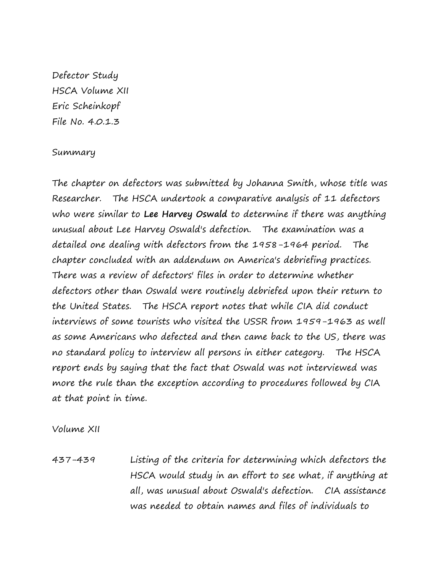Defector Study HSCA Volume XII Eric Scheinkopf File No. 4.0.1.3

## Summary

The chapter on defectors was submitted by Johanna Smith, whose title was Researcher. The HSCA undertook a comparative analysis of 11 defectors who were similar to **Lee Harvey Oswald** to determine if there was anything unusual about Lee Harvey Oswald's defection. The examination was a detailed one dealing with defectors from the 1958-1964 period. The chapter concluded with an addendum on America's debriefing practices. There was a review of defectors' files in order to determine whether defectors other than Oswald were routinely debriefed upon their return to the United States. The HSCA report notes that while CIA did conduct interviews of some tourists who visited the USSR from 1959-1963 as well as some Americans who defected and then came back to the US, there was no standard policy to interview all persons in either category. The HSCA report ends by saying that the fact that Oswald was not interviewed was more the rule than the exception according to procedures followed by CIA at that point in time.

Volume XII

437-439 Listing of the criteria for determining which defectors the HSCA would study in an effort to see what, if anything at all, was unusual about Oswald's defection. CIA assistance was needed to obtain names and files of individuals to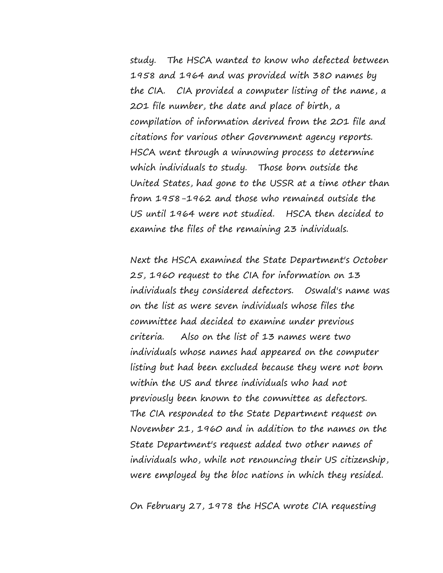study. The HSCA wanted to know who defected between 1958 and 1964 and was provided with 380 names by the CIA. CIA provided a computer listing of the name, a 201 file number, the date and place of birth, a compilation of information derived from the 201 file and citations for various other Government agency reports. HSCA went through a winnowing process to determine which individuals to study. Those born outside the United States, had gone to the USSR at a time other than from 1958-1962 and those who remained outside the US until 1964 were not studied. HSCA then decided to examine the files of the remaining 23 individuals.

Next the HSCA examined the State Department's October 25, 1960 request to the CIA for information on 13 individuals they considered defectors. Oswald's name was on the list as were seven individuals whose files the committee had decided to examine under previous criteria. Also on the list of 13 names were two individuals whose names had appeared on the computer listing but had been excluded because they were not born within the US and three individuals who had not previously been known to the committee as defectors. The CIA responded to the State Department request on November 21, 1960 and in addition to the names on the State Department's request added two other names of individuals who, while not renouncing their US citizenship, were employed by the bloc nations in which they resided.

On February 27, 1978 the HSCA wrote CIA requesting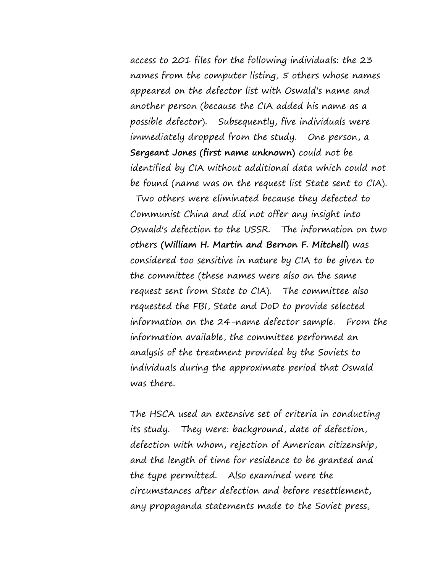access to 201 files for the following individuals: the 23 names from the computer listing, 5 others whose names appeared on the defector list with Oswald's name and another person (because the CIA added his name as a possible defector). Subsequently, five individuals were immediately dropped from the study. One person, a **Sergeant Jones (first name unknown)** could not be identified by CIA without additional data which could not be found (name was on the request list State sent to CIA).

Two others were eliminated because they defected to Communist China and did not offer any insight into Oswald's defection to the USSR. The information on two others **(William H. Martin and Bernon F. Mitchell)** was considered too sensitive in nature by CIA to be given to the committee (these names were also on the same request sent from State to CIA). The committee also requested the FBI, State and DoD to provide selected information on the 24-name defector sample. From the information available, the committee performed an analysis of the treatment provided by the Soviets to individuals during the approximate period that Oswald was there.

The HSCA used an extensive set of criteria in conducting its study. They were: background, date of defection, defection with whom, rejection of American citizenship, and the length of time for residence to be granted and the type permitted. Also examined were the circumstances after defection and before resettlement, any propaganda statements made to the Soviet press,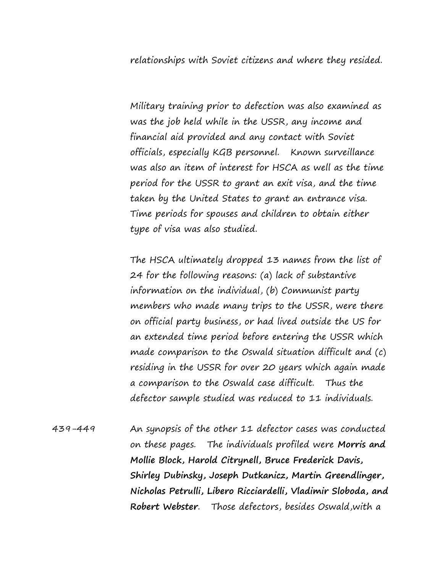relationships with Soviet citizens and where they resided.

Military training prior to defection was also examined as was the job held while in the USSR, any income and financial aid provided and any contact with Soviet officials, especially KGB personnel. Known surveillance was also an item of interest for HSCA as well as the time period for the USSR to grant an exit visa, and the time taken by the United States to grant an entrance visa. Time periods for spouses and children to obtain either type of visa was also studied.

The HSCA ultimately dropped 13 names from the list of 24 for the following reasons: (a) lack of substantive information on the individual, (b) Communist party members who made many trips to the USSR, were there on official party business, or had lived outside the US for an extended time period before entering the USSR which made comparison to the Oswald situation difficult and (c) residing in the USSR for over 20 years which again made a comparison to the Oswald case difficult. Thus the defector sample studied was reduced to 11 individuals.

439-449 An synopsis of the other 11 defector cases was conducted on these pages. The individuals profiled were **Morris and Mollie Block, Harold Citrynell, Bruce Frederick Davis, Shirley Dubinsky, Joseph Dutkanicz, Martin Greendlinger, Nicholas Petrulli, Libero Ricciardelli, Vladimir Sloboda, and Robert Webster**. Those defectors, besides Oswald,with a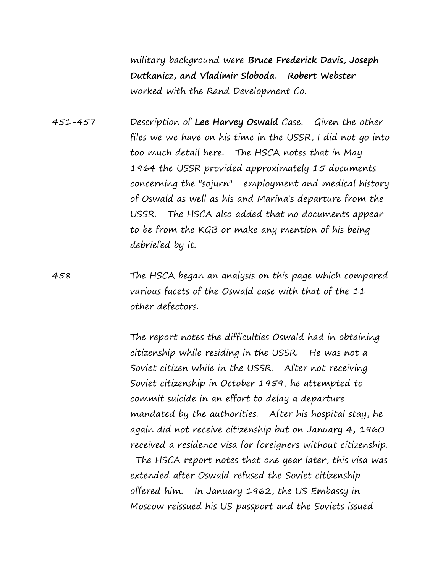military background were **Bruce Frederick Davis, Joseph Dutkanicz, and Vladimir Sloboda. Robert Webster** worked with the Rand Development Co.

451-457 Description of **Lee Harvey Oswald** Case. Given the other files we we have on his time in the USSR, I did not go into too much detail here. The HSCA notes that in May 1964 the USSR provided approximately 15 documents concerning the "sojurn" employment and medical history of Oswald as well as his and Marina's departure from the USSR. The HSCA also added that no documents appear to be from the KGB or make any mention of his being debriefed by it.

458 The HSCA began an analysis on this page which compared various facets of the Oswald case with that of the 11 other defectors.

> The report notes the difficulties Oswald had in obtaining citizenship while residing in the USSR. He was not a Soviet citizen while in the USSR. After not receiving Soviet citizenship in October 1959, he attempted to commit suicide in an effort to delay a departure mandated by the authorities. After his hospital stay, he again did not receive citizenship but on January 4, 1960 received a residence visa for foreigners without citizenship.

> The HSCA report notes that one year later, this visa was extended after Oswald refused the Soviet citizenship offered him. In January 1962, the US Embassy in Moscow reissued his US passport and the Soviets issued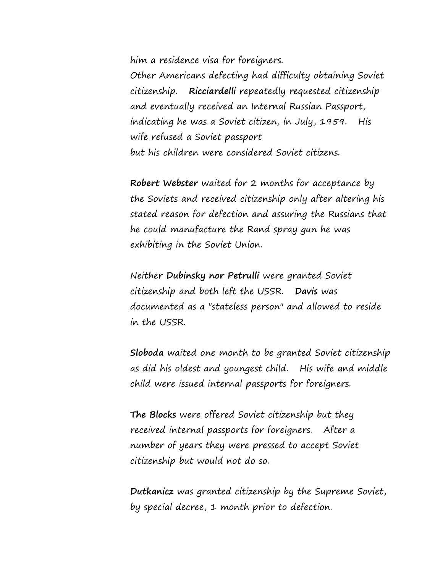him a residence visa for foreigners.

Other Americans defecting had difficulty obtaining Soviet citizenship. **Ricciardelli** repeatedly requested citizenship and eventually received an Internal Russian Passport, indicating he was a Soviet citizen, in July, 1959. His wife refused a Soviet passport but his children were considered Soviet citizens.

**Robert Webster** waited for 2 months for acceptance by the Soviets and received citizenship only after altering his stated reason for defection and assuring the Russians that he could manufacture the Rand spray gun he was exhibiting in the Soviet Union.

Neither **Dubinsky nor Petrulli** were granted Soviet citizenship and both left the USSR. **Davis** was documented as a "stateless person" and allowed to reside in the USSR.

**Sloboda** waited one month to be granted Soviet citizenship as did his oldest and youngest child. His wife and middle child were issued internal passports for foreigners.

**The Blocks** were offered Soviet citizenship but they received internal passports for foreigners. After a number of years they were pressed to accept Soviet citizenship but would not do so.

**Dutkanicz** was granted citizenship by the Supreme Soviet, by special decree, 1 month prior to defection.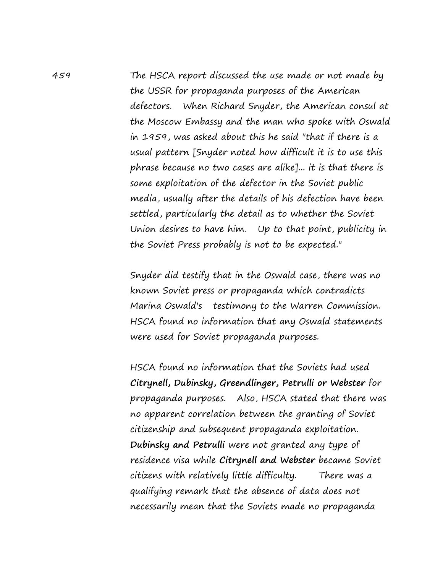459 The HSCA report discussed the use made or not made by the USSR for propaganda purposes of the American defectors. When Richard Snyder, the American consul at the Moscow Embassy and the man who spoke with Oswald in 1959, was asked about this he said "that if there is a usual pattern [Snyder noted how difficult it is to use this phrase because no two cases are alike]... it is that there is some exploitation of the defector in the Soviet public media, usually after the details of his defection have been settled, particularly the detail as to whether the Soviet Union desires to have him. Up to that point, publicity in the Soviet Press probably is not to be expected."

> Snyder did testify that in the Oswald case, there was no known Soviet press or propaganda which contradicts Marina Oswald's testimony to the Warren Commission. HSCA found no information that any Oswald statements were used for Soviet propaganda purposes.

HSCA found no information that the Soviets had used **Citrynell, Dubinsky, Greendlinger, Petrulli or Webster** for propaganda purposes. Also, HSCA stated that there was no apparent correlation between the granting of Soviet citizenship and subsequent propaganda exploitation. **Dubinsky and Petrulli** were not granted any type of residence visa while **Citrynell and Webster** became Soviet citizens with relatively little difficulty. There was a qualifying remark that the absence of data does not necessarily mean that the Soviets made no propaganda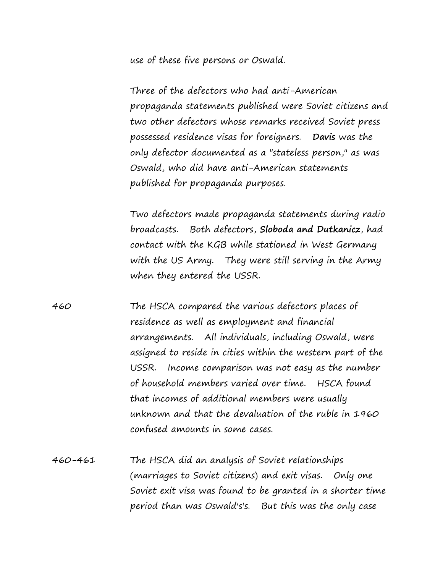use of these five persons or Oswald.

Three of the defectors who had anti-American propaganda statements published were Soviet citizens and two other defectors whose remarks received Soviet press possessed residence visas for foreigners. **Davis** was the only defector documented as a "stateless person," as was Oswald, who did have anti-American statements published for propaganda purposes.

Two defectors made propaganda statements during radio broadcasts. Both defectors, **Sloboda and Dutkanicz**, had contact with the KGB while stationed in West Germany with the US Army. They were still serving in the Army when they entered the USSR.

460 The HSCA compared the various defectors places of residence as well as employment and financial arrangements. All individuals, including Oswald, were assigned to reside in cities within the western part of the USSR. Income comparison was not easy as the number of household members varied over time. HSCA found that incomes of additional members were usually unknown and that the devaluation of the ruble in 1960 confused amounts in some cases.

460-461 The HSCA did an analysis of Soviet relationships (marriages to Soviet citizens) and exit visas. Only one Soviet exit visa was found to be granted in a shorter time period than was Oswald's's. But this was the only case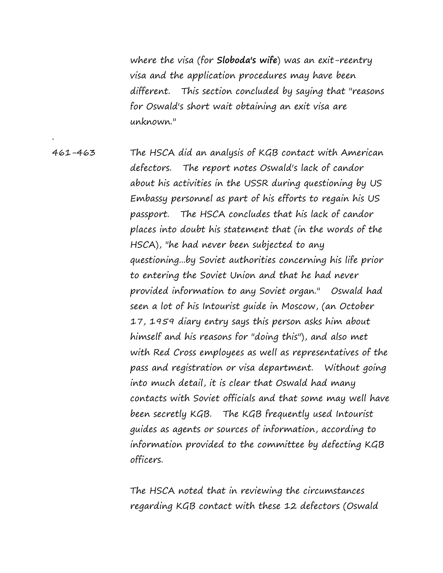where the visa (for **Sloboda's wife**) was an exit-reentry visa and the application procedures may have been different. This section concluded by saying that "reasons for Oswald's short wait obtaining an exit visa are unknown."

461-463 The HSCA did an analysis of KGB contact with American defectors. The report notes Oswald's lack of candor about his activities in the USSR during questioning by US Embassy personnel as part of his efforts to regain his US passport. The HSCA concludes that his lack of candor places into doubt his statement that (in the words of the HSCA), "he had never been subjected to any questioning...by Soviet authorities concerning his life prior to entering the Soviet Union and that he had never provided information to any Soviet organ." Oswald had seen a lot of his Intourist guide in Moscow, (an October 17, 1959 diary entry says this person asks him about himself and his reasons for "doing this"), and also met with Red Cross employees as well as representatives of the pass and registration or visa department. Without going into much detail, it is clear that Oswald had many contacts with Soviet officials and that some may well have been secretly KGB. The KGB frequently used Intourist guides as agents or sources of information, according to information provided to the committee by defecting KGB officers.

.

The HSCA noted that in reviewing the circumstances regarding KGB contact with these 12 defectors (Oswald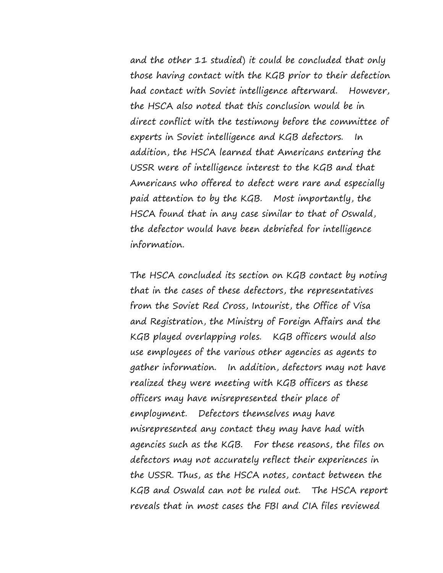and the other 11 studied) it could be concluded that only those having contact with the KGB prior to their defection had contact with Soviet intelligence afterward. However, the HSCA also noted that this conclusion would be in direct conflict with the testimony before the committee of experts in Soviet intelligence and KGB defectors. In addition, the HSCA learned that Americans entering the USSR were of intelligence interest to the KGB and that Americans who offered to defect were rare and especially paid attention to by the KGB. Most importantly, the HSCA found that in any case similar to that of Oswald, the defector would have been debriefed for intelligence information.

The HSCA concluded its section on KGB contact by noting that in the cases of these defectors, the representatives from the Soviet Red Cross, Intourist, the Office of Visa and Registration, the Ministry of Foreign Affairs and the KGB played overlapping roles. KGB officers would also use employees of the various other agencies as agents to gather information. In addition, defectors may not have realized they were meeting with KGB officers as these officers may have misrepresented their place of employment. Defectors themselves may have misrepresented any contact they may have had with agencies such as the KGB. For these reasons, the files on defectors may not accurately reflect their experiences in the USSR. Thus, as the HSCA notes, contact between the KGB and Oswald can not be ruled out. The HSCA report reveals that in most cases the FBI and CIA files reviewed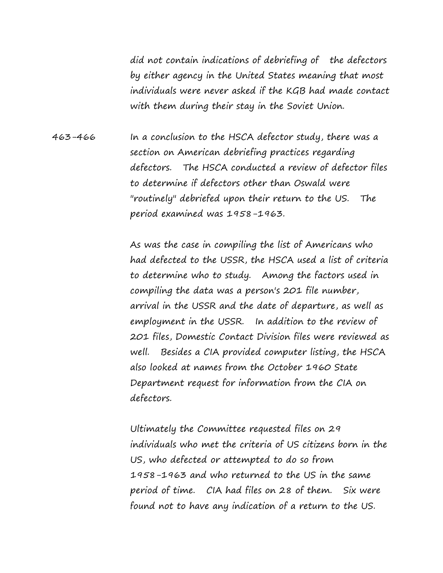did not contain indications of debriefing of the defectors by either agency in the United States meaning that most individuals were never asked if the KGB had made contact with them during their stay in the Soviet Union.

463-466 In a conclusion to the HSCA defector study, there was a section on American debriefing practices regarding defectors. The HSCA conducted a review of defector files to determine if defectors other than Oswald were "routinely" debriefed upon their return to the US. The period examined was 1958-1963.

> As was the case in compiling the list of Americans who had defected to the USSR, the HSCA used a list of criteria to determine who to study. Among the factors used in compiling the data was a person's 201 file number, arrival in the USSR and the date of departure, as well as employment in the USSR. In addition to the review of 201 files, Domestic Contact Division files were reviewed as well. Besides a CIA provided computer listing, the HSCA also looked at names from the October 1960 State Department request for information from the CIA on defectors.

> Ultimately the Committee requested files on 29 individuals who met the criteria of US citizens born in the US, who defected or attempted to do so from 1958-1963 and who returned to the US in the same period of time. CIA had files on 28 of them. Six were found not to have any indication of a return to the US.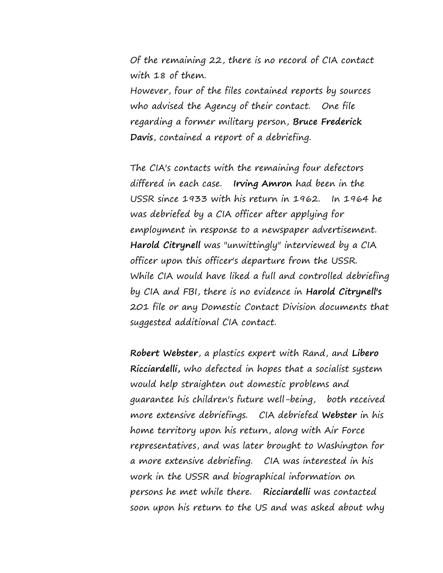Of the remaining 22, there is no record of CIA contact with 18 of them.

However, four of the files contained reports by sources who advised the Agency of their contact. One file regarding a former military person, **Bruce Frederick Davis**, contained a report of a debriefing.

The CIA's contacts with the remaining four defectors differed in each case. **Irving Amron** had been in the USSR since 1933 with his return in 1962. In 1964 he was debriefed by a CIA officer after applying for employment in response to a newspaper advertisement. **Harold Citrynell** was "unwittingly" interviewed by a CIA officer upon this officer's departure from the USSR. While CIA would have liked a full and controlled debriefing by CIA and FBI, there is no evidence in **Harold Citrynell's** 201 file or any Domestic Contact Division documents that suggested additional CIA contact.

**Robert Webster**, a plastics expert with Rand, and **Libero Ricciardelli,** who defected in hopes that a socialist system would help straighten out domestic problems and guarantee his children's future well-being, both received more extensive debriefings. CIA debriefed **Webster** in his home territory upon his return, along with Air Force representatives, and was later brought to Washington for a more extensive debriefing. CIA was interested in his work in the USSR and biographical information on persons he met while there. **Ricciardelli** was contacted soon upon his return to the US and was asked about why